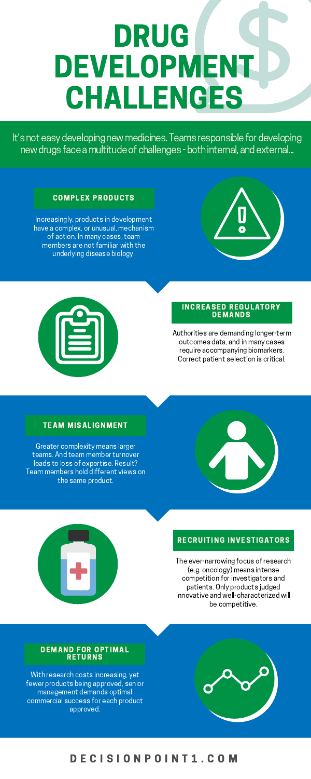# DRUG DEVELOPMENT CHALLENGES

It's not easy developing new medicines. Teams responsible for developing new drugs face a multitude of challenges - both internal, and external...

### D E C I S I O N P O I N T 1 . C O M

#### COMPLEX PRODUCTS

Increasingly, products in development have a complex, or unusual, mechanism of action. In many cases, team members are not familiar with the underlying disease biology.





#### INCREASED REGULATORY DEMANDS

#### TEAM MISALIGNMENT

#### RECRUITING INVESTIGATORS

#### DEMAND FOR OPTIMAL RETURNS

Authorities are demanding longer-term outcomes data, and in many cases require accompanying biomarkers. Correct patient selection is critical.

The ever-narrowing focus of research (e.g. oncology) means intense competition for investigators and patients. Only products judged innovative and well-characterized will be competitive.

Greater complexity means larger teams. And team member turnover leads to loss of expertise. Result?



Team members hold different views on the same product.



With research costs increasing, yet fewer products being approved, senior management demands optimal commercial success for each product approved.